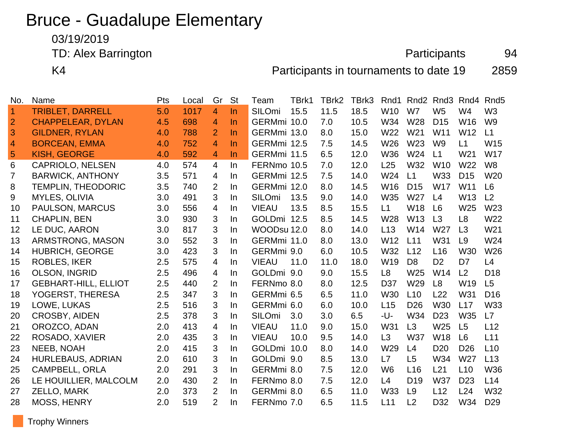# Bruce - Guadalupe Elementary

03/19/2019

TD: Alex Barrington **Participants** 94

K4 **Participants in tournaments to date 19** 2859

| No.            | Name                        | Pts | Local | Gr             | <b>St</b> | Team         | TBrk1 | TBrk2 | TBrk3 | Rnd1            | Rnd <sub>2</sub> | Rnd <sub>3</sub> | Rnd4            | Rnd <sub>5</sub> |
|----------------|-----------------------------|-----|-------|----------------|-----------|--------------|-------|-------|-------|-----------------|------------------|------------------|-----------------|------------------|
| $\overline{1}$ | <b>TRIBLET, DARRELL</b>     | 5.0 | 1017  | 4              | $\ln$     | SILOmi       | 15.5  | 11.5  | 18.5  | W10             | W7               | W <sub>5</sub>   | W <sub>4</sub>  | W <sub>3</sub>   |
| $\overline{2}$ | <b>CHAPPELEAR, DYLAN</b>    | 4.5 | 698   | 4              | $\ln$     | GERMmi 10.0  |       | 7.0   | 10.5  | W34             | W28              | D <sub>15</sub>  | W16             | W <sub>9</sub>   |
| 3              | <b>GILDNER, RYLAN</b>       | 4.0 | 788   | $\overline{2}$ | $\ln$     | GERMmi 13.0  |       | 8.0   | 15.0  | W22             | W21              | W11              | W12             | L1               |
| $\overline{4}$ | <b>BORCEAN, EMMA</b>        | 4.0 | 752   | 4              | $\ln$     | GERMmi 12.5  |       | 7.5   | 14.5  | W26             | W <sub>23</sub>  | W <sub>9</sub>   | L1              | W15              |
| 5              | <b>KISH, GEORGE</b>         | 4.0 | 592   | $\overline{4}$ | $\ln$     | GERMmi 11.5  |       | 6.5   | 12.0  | W36             | W24              | L1               | W <sub>21</sub> | <b>W17</b>       |
| 6              | <b>CAPRIOLO, NELSEN</b>     | 4.0 | 574   | 4              | In        | FERNmo 10.5  |       | 7.0   | 12.0  | L25             | W32              | W <sub>10</sub>  | W22             | W <sub>8</sub>   |
| $\overline{7}$ | <b>BARWICK, ANTHONY</b>     | 3.5 | 571   | 4              | $\ln$     | GERMmi 12.5  |       | 7.5   | 14.0  | W24             | L1               | W33              | D <sub>15</sub> | W20              |
| 8              | <b>TEMPLIN, THEODORIC</b>   | 3.5 | 740   | $\overline{2}$ | In        | GERMmi 12.0  |       | 8.0   | 14.5  | W16             | D <sub>15</sub>  | <b>W17</b>       | W11             | L <sub>6</sub>   |
| 9              | MYLES, OLIVIA               | 3.0 | 491   | 3              | In        | SILOmi       | 13.5  | 9.0   | 14.0  | W35             | W27              | L4               | W13             | L2               |
| 10             | PAULSON, MARCUS             | 3.0 | 556   | 4              | $\ln$     | <b>VIEAU</b> | 13.5  | 8.5   | 15.5  | L1              | W18              | L <sub>6</sub>   | W <sub>25</sub> | W <sub>23</sub>  |
| 11             | <b>CHAPLIN, BEN</b>         | 3.0 | 930   | 3              | In        | GOLDmi 12.5  |       | 8.5   | 14.5  | W28             | W <sub>13</sub>  | L3               | L <sub>8</sub>  | W22              |
| 12             | LE DUC, AARON               | 3.0 | 817   | 3              | In        | WOODsu 12.0  |       | 8.0   | 14.0  | L13             | W14              | W27              | L3              | W21              |
| 13             | ARMSTRONG, MASON            | 3.0 | 552   | 3              | In        | GERMmi 11.0  |       | 8.0   | 13.0  | W12             | L11              | W31              | L9              | W24              |
| 14             | <b>HUBRICH, GEORGE</b>      | 3.0 | 423   | 3              | In        | GERMmi 9.0   |       | 6.0   | 10.5  | W32             | L12              | L16              | W30             | W26              |
| 15             | <b>ROBLES, IKER</b>         | 2.5 | 575   | 4              | In        | <b>VIEAU</b> | 11.0  | 11.0  | 18.0  | W19             | D <sub>8</sub>   | D <sub>2</sub>   | D7              | L4               |
| 16             | <b>OLSON, INGRID</b>        | 2.5 | 496   | $\overline{4}$ | In        | GOLDmi 9.0   |       | 9.0   | 15.5  | L8              | W25              | W14              | L2              | D <sub>18</sub>  |
| 17             | <b>GEBHART-HILL, ELLIOT</b> | 2.5 | 440   | $\overline{2}$ | In        | FERNmo 8.0   |       | 8.0   | 12.5  | D <sub>37</sub> | W <sub>29</sub>  | L8               | W <sub>19</sub> | L5               |
| 18             | YOGERST, THERESA            | 2.5 | 347   | 3              | In        | GERMmi 6.5   |       | 6.5   | 11.0  | W30             | L10              | L22              | W31             | D <sub>16</sub>  |
| 19             | LOWE, LUKAS                 | 2.5 | 516   | 3              | In        | GERMmi 6.0   |       | 6.0   | 10.0  | L15             | D <sub>26</sub>  | W30              | L17             | <b>W33</b>       |
| 20             | <b>CROSBY, AIDEN</b>        | 2.5 | 378   | 3              | In        | SILOmi       | 3.0   | 3.0   | 6.5   | -U-             | W34              | D <sub>23</sub>  | <b>W35</b>      | L7               |
| 21             | OROZCO, ADAN                | 2.0 | 413   | 4              | In        | <b>VIEAU</b> | 11.0  | 9.0   | 15.0  | W31             | L3               | W <sub>25</sub>  | L5              | L12              |
| 22             | ROSADO, XAVIER              | 2.0 | 435   | 3              | In        | <b>VIEAU</b> | 10.0  | 9.5   | 14.0  | L3              | <b>W37</b>       | W18              | L6              | L11              |
| 23             | NEEB, NOAH                  | 2.0 | 415   | 3              | In        | GOLDmi 10.0  |       | 8.0   | 14.0  | W <sub>29</sub> | L4               | D <sub>20</sub>  | D <sub>26</sub> | L10              |
| 24             | <b>HURLEBAUS, ADRIAN</b>    | 2.0 | 610   | 3              | In        | GOLDmi 9.0   |       | 8.5   | 13.0  | L7              | L5               | W34              | W27             | L13              |
| 25             | <b>CAMPBELL, ORLA</b>       | 2.0 | 291   | 3              | In        | GERMmi 8.0   |       | 7.5   | 12.0  | W <sub>6</sub>  | L16              | L21              | L10             | <b>W36</b>       |
| 26             | LE HOUILLIER, MALCOLM       | 2.0 | 430   | $\overline{2}$ | In        | FERNmo 8.0   |       | 7.5   | 12.0  | L4              | D <sub>19</sub>  | <b>W37</b>       | D <sub>23</sub> | L14              |
| 27             | <b>ZELLO, MARK</b>          | 2.0 | 373   | $\overline{2}$ | In        | GERMmi 8.0   |       | 6.5   | 11.0  | <b>W33</b>      | L9               | L12              | L24             | W32              |
| 28             | <b>MOSS, HENRY</b>          | 2.0 | 519   | $\overline{2}$ | In        | FERNmo 7.0   |       | 6.5   | 11.5  | L11             | L2               | D32              | W34             | D <sub>29</sub>  |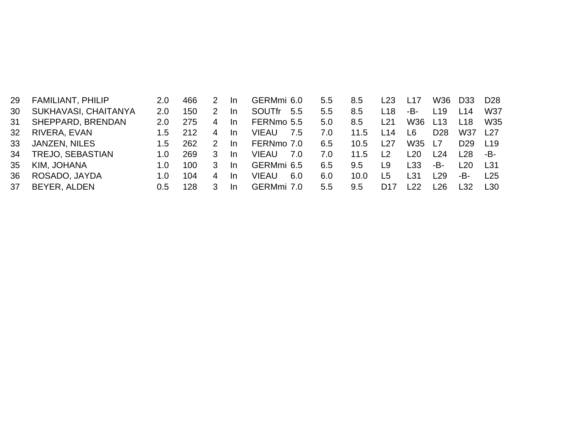| 29  | <b>FAMILIANT, PHILIP</b> | 2.0           | 466 |   | -In       | GERMmi 6.0    |     | $5.5^{\circ}$    | 8.5  | L23            | L17             | W36             | D <sub>33</sub> | D <sub>28</sub> |
|-----|--------------------------|---------------|-----|---|-----------|---------------|-----|------------------|------|----------------|-----------------|-----------------|-----------------|-----------------|
| 30  | SUKHAVASI, CHAITANYA     | 2.0           | 150 |   | <b>In</b> | <b>SOUTfr</b> | 5.5 | 5.5              | 8.5  | L18            | -B-             | L19             | L14             | W37             |
| -31 | SHEPPARD, BRENDAN        | 2.0           | 275 | 4 | -In       | FERNmo 5.5    |     | 5.0 <sub>1</sub> | 8.5  | L21            | W36             | L13             | L <sub>18</sub> | W35             |
| 32  | RIVERA, EVAN             | $1.5^{\circ}$ | 212 | 4 | -In       | VIEAU         | 7.5 | 7.0              | 11.5 | L14            | L6.             | D <sub>28</sub> | W37             | l 27            |
| 33  | <b>JANZEN, NILES</b>     | $1.5^{\circ}$ | 262 | 2 | -In       | FERNmo 7.0    |     | 6.5              | 10.5 | L27            | W35             | 17              | D <sub>29</sub> | <u> 19</u>      |
| 34  | <b>TREJO, SEBASTIAN</b>  | 1.0           | 269 | 3 | -In       | <b>VIEAU</b>  | 7.0 | 7.0              | 11.5 | L <sub>2</sub> | L <sub>20</sub> | L24             | l 28.           | -B-             |
| 35  | KIM, JOHANA              | 1.0           | 100 | 3 | -In       | GERMmi 6.5    |     | 6.5              | 9.5  | L9             | L33             | -B-             | 120             | T 31            |
| 36  | ROSADO, JAYDA            | 1.0.          | 104 | 4 | -In       | VIEAU         | 6.0 | 6.0              | 10.0 | L5             | L31             | l 29            | -B-             | 125             |
| 37  | BEYER, ALDEN             | 0.5           | 128 |   | <b>In</b> | GERMmi 7.0    |     | $5.5^{\circ}$    | 9.5  | D17            | -22             | l 26            | -32             | l 30.           |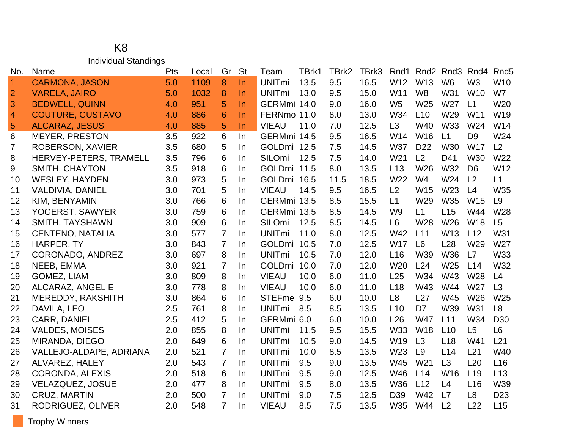#### K8 Individual Standings

| No.            | Name                    | Pts | Local | Gr             | <b>St</b> | Team          | TBrk1 | TBrk2 | TBrk3 | Rnd1            | Rnd <sub>2</sub> |                 | Rnd <sub>3</sub> Rnd <sub>4</sub> | Rnd <sub>5</sub> |
|----------------|-------------------------|-----|-------|----------------|-----------|---------------|-------|-------|-------|-----------------|------------------|-----------------|-----------------------------------|------------------|
| $\overline{1}$ | <b>CARMONA, JASON</b>   | 5.0 | 1109  | 8              | $\ln$     | <b>UNITmi</b> | 13.5  | 9.5   | 16.5  | W12             | W13              | W <sub>6</sub>  | W <sub>3</sub>                    | W10              |
| $\overline{2}$ | <b>VARELA, JAIRO</b>    | 5.0 | 1032  | 8              | $\ln$     | <b>UNITmi</b> | 13.0  | 9.5   | 15.0  | W11             | W <sub>8</sub>   | W31             | <b>W10</b>                        | W7               |
| 3              | <b>BEDWELL, QUINN</b>   | 4.0 | 951   | 5              | $\ln$     | GERMmi 14.0   |       | 9.0   | 16.0  | W <sub>5</sub>  | W25              | W27             | L1                                | W20              |
| $\overline{4}$ | <b>COUTURE, GUSTAVO</b> | 4.0 | 886   | 6              | $\ln$     | FERNmo 11.0   |       | 8.0   | 13.0  | W34             | L10              | W29             | W11                               | W19              |
| $\overline{5}$ | <b>ALCARAZ, JESUS</b>   | 4.0 | 885   | 5              | $\ln$     | <b>VIEAU</b>  | 11.0  | 7.0   | 12.5  | L3              | W40              | <b>W33</b>      | W24                               | W14              |
| 6              | <b>MEYER, PRESTON</b>   | 3.5 | 922   | 6              | In        | GERMmi 14.5   |       | 9.5   | 16.5  | W14             | W16              | L1              | D <sub>9</sub>                    | W24              |
| 7              | <b>ROBERSON, XAVIER</b> | 3.5 | 680   | 5              | In        | GOLDmi 12.5   |       | 7.5   | 14.5  | <b>W37</b>      | D <sub>22</sub>  | <b>W30</b>      | <b>W17</b>                        | L2               |
| 8              | HERVEY-PETERS, TRAMELL  | 3.5 | 796   | 6              | In        | SILOmi        | 12.5  | 7.5   | 14.0  | W <sub>21</sub> | L2               | D41             | <b>W30</b>                        | W22              |
| 9              | <b>SMITH, CHAYTON</b>   | 3.5 | 918   | 6              | In        | GOLDmi 11.5   |       | 8.0   | 13.5  | L13             | W26              | W32             | D <sub>6</sub>                    | W <sub>12</sub>  |
| 10             | <b>WESLEY, HAYDEN</b>   | 3.0 | 973   | 5              | In        | GOLDmi 16.5   |       | 11.5  | 18.5  | W22             | W4               | W24             | L2                                | L1               |
| 11             | VALDIVIA, DANIEL        | 3.0 | 701   | 5              | $\ln$     | <b>VIEAU</b>  | 14.5  | 9.5   | 16.5  | L2              | W15              | W <sub>23</sub> | L4                                | W35              |
| 12             | KIM, BENYAMIN           | 3.0 | 766   | 6              | In        | GERMmi 13.5   |       | 8.5   | 15.5  | L1              | W29              | <b>W35</b>      | W15                               | L <sub>9</sub>   |
| 13             | YOGERST, SAWYER         | 3.0 | 759   | 6              | In        | GERMmi 13.5   |       | 8.5   | 14.5  | W <sub>9</sub>  | L1               | L15             | W44                               | W28              |
| 14             | SMITH, TAYSHAWN         | 3.0 | 909   | 6              | <b>In</b> | SILOmi        | 12.5  | 8.5   | 14.5  | L <sub>6</sub>  | W28              | W <sub>26</sub> | <b>W18</b>                        | L5               |
| 15             | <b>CENTENO, NATALIA</b> | 3.0 | 577   | $\overline{7}$ | In        | <b>UNITmi</b> | 11.0  | 8.0   | 12.5  | W42             | L11              | W13             | L12                               | W31              |
| 16             | HARPER, TY              | 3.0 | 843   | $\overline{7}$ | In        | <b>GOLDmi</b> | 10.5  | 7.0   | 12.5  | <b>W17</b>      | L <sub>6</sub>   | L28             | W29                               | W <sub>27</sub>  |
| 17             | CORONADO, ANDREZ        | 3.0 | 697   | 8              | In        | <b>UNITmi</b> | 10.5  | 7.0   | 12.0  | L <sub>16</sub> | W39              | <b>W36</b>      | L7                                | W33              |
| 18             | NEEB, EMMA              | 3.0 | 921   | $\overline{7}$ | $\ln$     | <b>GOLDmi</b> | 10.0  | 7.0   | 12.0  | W20             | L24              | W <sub>25</sub> | L14                               | W32              |
| 19             | <b>GOMEZ, LIAM</b>      | 3.0 | 809   | 8              | In        | <b>VIEAU</b>  | 10.0  | 6.0   | 11.0  | L25             | W34              | W43             | W28                               | L4               |
| 20             | ALCARAZ, ANGEL E        | 3.0 | 778   | 8              | $\ln$     | <b>VIEAU</b>  | 10.0  | 6.0   | 11.0  | L18             | W43              | W44             | W27                               | L3               |
| 21             | MEREDDY, RAKSHITH       | 3.0 | 864   | 6              | In        | STEFme 9.5    |       | 6.0   | 10.0  | L <sub>8</sub>  | L27              | W45             | W26                               | W25              |
| 22             | DAVILA, LEO             | 2.5 | 761   | 8              | In        | <b>UNITmi</b> | 8.5   | 8.5   | 13.5  | L10             | D <sub>7</sub>   | W39             | W31                               | L <sub>8</sub>   |
| 23             | <b>CARR, DANIEL</b>     | 2.5 | 412   | 5              | $\ln$     | GERMmi 6.0    |       | 6.0   | 10.0  | L26             | <b>W47</b>       | L11             | W34                               | D <sub>30</sub>  |
| 24             | <b>VALDES, MOISES</b>   | 2.0 | 855   | 8              | In        | <b>UNITmi</b> | 11.5  | 9.5   | 15.5  | <b>W33</b>      | <b>W18</b>       | L10             | L5                                | L <sub>6</sub>   |
| 25             | MIRANDA, DIEGO          | 2.0 | 649   | 6              | In        | <b>UNITmi</b> | 10.5  | 9.0   | 14.5  | W19             | L3               | L18             | W41                               | L21              |
| 26             | VALLEJO-ALDAPE, ADRIANA | 2.0 | 521   | $\overline{7}$ | In        | <b>UNITmi</b> | 10.0  | 8.5   | 13.5  | W23             | L <sub>9</sub>   | L14             | L21                               | W40              |
| 27             | ALVAREZ, HALEY          | 2.0 | 543   | $\overline{7}$ | In        | <b>UNITmi</b> | 9.5   | 9.0   | 13.5  | W45             | W21              | L3              | L20                               | L16              |
| 28             | <b>CORONDA, ALEXIS</b>  | 2.0 | 518   | 6              | In        | <b>UNITmi</b> | 9.5   | 9.0   | 12.5  | W46             | L14              | W16             | L <sub>19</sub>                   | L13              |
| 29             | VELAZQUEZ, JOSUE        | 2.0 | 477   | 8              | $\ln$     | <b>UNITmi</b> | 9.5   | 8.0   | 13.5  | <b>W36</b>      | L12              | L4              | L16                               | W39              |
| 30             | <b>CRUZ, MARTIN</b>     | 2.0 | 500   | 7              | In        | <b>UNITmi</b> | 9.0   | 7.5   | 12.5  | D39             | W42              | L7              | L <sub>8</sub>                    | D <sub>23</sub>  |
| 31             | RODRIGUEZ, OLIVER       | 2.0 | 548   | $\overline{7}$ | In        | <b>VIEAU</b>  | 8.5   | 7.5   | 13.5  | W35             | W44              | L <sub>2</sub>  | L22                               | L15              |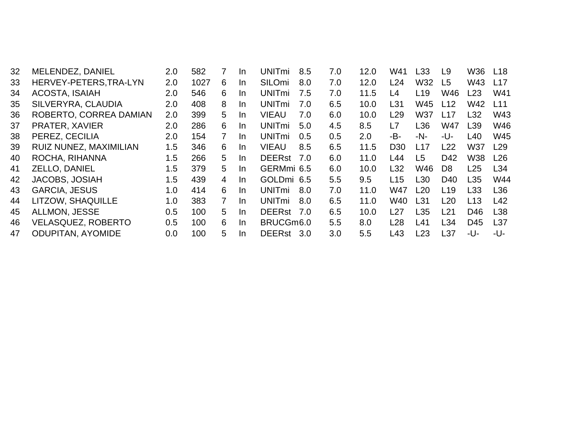| 32 | MELENDEZ, DANIEL          | 2.0     | 582  | 7              | In. | <b>UNITmi</b> | 8.5 | 7.0 | 12.0 | W41             | L33             | L9              | W36             | L <sub>18</sub> |
|----|---------------------------|---------|------|----------------|-----|---------------|-----|-----|------|-----------------|-----------------|-----------------|-----------------|-----------------|
| 33 | HERVEY-PETERS, TRA-LYN    | 2.0     | 1027 | 6              | In. | SILOmi        | 8.0 | 7.0 | 12.0 | L24             | W32             | L <sub>5</sub>  | W43             | L17             |
| 34 | <b>ACOSTA, ISAIAH</b>     | 2.0     | 546  | 6              | In. | <b>UNITmi</b> | 7.5 | 7.0 | 11.5 | L4              | L <sub>19</sub> | W46             | L23             | W41             |
| 35 | SILVERYRA, CLAUDIA        | 2.0     | 408  | 8              | In. | <b>UNITmi</b> | 7.0 | 6.5 | 10.0 | L <sub>31</sub> | W45             | L12             | W42             | L11             |
| 36 | ROBERTO, CORREA DAMIAN    | 2.0     | 399  | 5              | In. | <b>VIEAU</b>  | 7.0 | 6.0 | 10.0 | L29             | W37             | L17             | L32             | W43             |
| 37 | PRATER, XAVIER            | $2.0\,$ | 286  | 6              | In. | <b>UNITmi</b> | 5.0 | 4.5 | 8.5  | L7              | L36             | W47             | L <sub>39</sub> | W46             |
| 38 | PEREZ, CECILIA            | 2.0     | 154  | 7              | In. | <b>UNITmi</b> | 0.5 | 0.5 | 2.0  | -B-             | -N-             | -U-             | L40             | W45             |
| 39 | RUIZ NUNEZ, MAXIMILIAN    | 1.5     | 346  | 6              | In. | <b>VIEAU</b>  | 8.5 | 6.5 | 11.5 | D <sub>30</sub> | L17             | L22             | <b>W37</b>      | L29             |
| 40 | ROCHA, RIHANNA            | 1.5     | 266  | 5              | In. | <b>DEERst</b> | 7.0 | 6.0 | 11.0 | L44             | L <sub>5</sub>  | D42             | <b>W38</b>      | L26             |
| 41 | ZELLO, DANIEL             | 1.5     | 379  | 5              | In. | GERMmi 6.5    |     | 6.0 | 10.0 | L32             | W46             | D <sub>8</sub>  | L25             | L34             |
| 42 | <b>JACOBS, JOSIAH</b>     | 1.5     | 439  | $\overline{4}$ | In. | GOLDmi 6.5    |     | 5.5 | 9.5  | L15             | L30             | D <sub>40</sub> | L35             | W44             |
| 43 | <b>GARCIA, JESUS</b>      | 1.0     | 414  | 6              | In. | <b>UNITmi</b> | 8.0 | 7.0 | 11.0 | W47             | L20             | L19             | L <sub>33</sub> | L36             |
| 44 | LITZOW, SHAQUILLE         | 1.0     | 383  | $\mathbf{7}$   | In. | <b>UNITmi</b> | 8.0 | 6.5 | 11.0 | W40             | L31             | L20             | L13             | L42             |
| 45 | ALLMON, JESSE             | 0.5     | 100  | 5.             | In. | DEERst 7.0    |     | 6.5 | 10.0 | L27             | L35             | L21             | D46             | L38             |
| 46 | <b>VELASQUEZ, ROBERTO</b> | 0.5     | 100  | 6              | In. | BRUCGm6.0     |     | 5.5 | 8.0  | L28             | L41             | L34             | D45             | L37             |
| 47 | <b>ODUPITAN, AYOMIDE</b>  | 0.0     | 100  | 5              | In. | <b>DEERst</b> | 3.0 | 3.0 | 5.5  | L43             | L23             | L37             | -U-             | -U-             |
|    |                           |         |      |                |     |               |     |     |      |                 |                 |                 |                 |                 |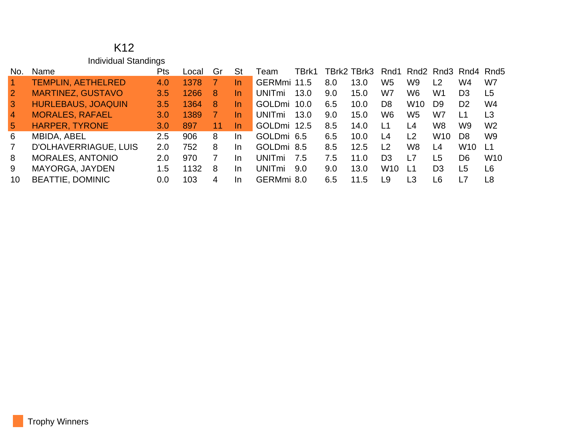#### K12 Individual Standings

| No.             | Name                      | <b>Pts</b>       | Local | Gr | St        | Team                     | TBrk1 |     | TBrk2 TBrk3 | Rnd1            |                |                 | Rnd <sub>2</sub> Rnd <sub>3</sub> Rnd <sub>4</sub> Rnd <sub>5</sub> |                |
|-----------------|---------------------------|------------------|-------|----|-----------|--------------------------|-------|-----|-------------|-----------------|----------------|-----------------|---------------------------------------------------------------------|----------------|
|                 | <b>TEMPLIN, AETHELRED</b> | 4.0              | 1378  |    | <u>In</u> | GERMmi 11.5              |       | 8.0 | 13.0        | W <sub>5</sub>  | W9             | L <sub>2</sub>  | W4                                                                  | W7             |
| $\overline{2}$  | <b>MARTINEZ, GUSTAVO</b>  | 3.5              | 1266  | 8  | In.       | UNITmi                   | 13.0  | 9.0 | 15.0        | W7              | W6             | W1              | D <sub>3</sub>                                                      | L <sub>5</sub> |
| $\mathbf{3}$    | <b>HURLEBAUS, JOAQUIN</b> | 3.5              | 1364  | 8  | In.       | GOLDmi 10.0              |       | 6.5 | 10.0        | D <sub>8</sub>  | W10            | D <sub>9</sub>  | D <sub>2</sub>                                                      | W4             |
| $\overline{4}$  | <b>MORALES, RAFAEL</b>    | 3.0 <sub>1</sub> | 1389  |    | In        | <b>UNIT<sub>mi</sub></b> | 13.0  | 9.0 | 15.0        | W6              | W <sub>5</sub> | W7              | l 1                                                                 | L3             |
| $5\overline{5}$ | <b>HARPER, TYRONE</b>     | 3.0              | 897   | 11 | In.       | <b>GOLDmi</b>            | 12.5  | 8.5 | 14.0        | L1              | L4             | W8              | W9                                                                  | W <sub>2</sub> |
| 6               | MBIDA, ABEL               | $2.5^{\circ}$    | 906   | 8  | In.       | GOLDmi 6.5               |       | 6.5 | 10.0        | I 4             | L <sub>2</sub> | W <sub>10</sub> | D8.                                                                 | W <sub>9</sub> |
| 7               | D'OLHAVERRIAGUE, LUIS     | 2.0              | 752.  | 8  | In.       | GOLDmi 8.5               |       | 8.5 | 12.5        | L <sub>2</sub>  | W8             | L4              | W <sub>10</sub>                                                     | L1             |
| 8               | <b>MORALES, ANTONIO</b>   | 2.0              | 970   |    | In.       | UNITmi                   | 7.5   | 7.5 | 11.0        | D3              | L7             | L5              | D <sub>6</sub>                                                      | <b>W10</b>     |
| 9               | MAYORGA, JAYDEN           | $1.5^{\circ}$    | 1132  | 8  | In.       | UNITmi                   | 9.0   | 9.0 | 13.0        | W <sub>10</sub> | L1             | D3              | L5                                                                  | L <sub>6</sub> |
| 10              | <b>BEATTIE, DOMINIC</b>   | 0.0              | 103   | 4  | In.       | GERMmi 8.0               |       | 6.5 | 11.5        | L9              | L <sub>3</sub> | L6              | $\overline{7}$                                                      | L8             |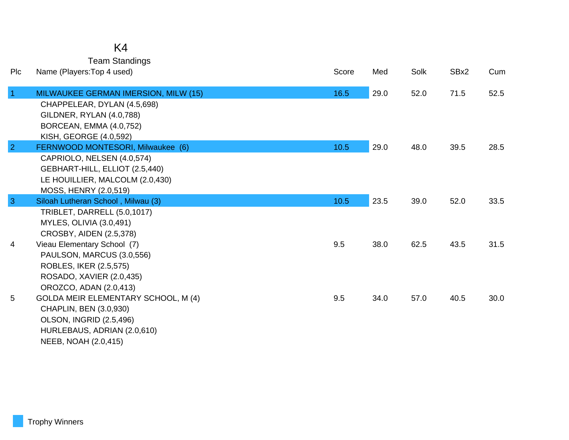## K4

Team Standings

| Plc            | Name (Players: Top 4 used)                                                                                                                                    | Score | Med  | Solk | SBx2 | Cum  |
|----------------|---------------------------------------------------------------------------------------------------------------------------------------------------------------|-------|------|------|------|------|
| $\overline{1}$ | MILWAUKEE GERMAN IMERSION, MILW (15)<br>CHAPPELEAR, DYLAN (4.5,698)<br>GILDNER, RYLAN (4.0,788)<br>BORCEAN, EMMA (4.0,752)<br>KISH, GEORGE (4.0,592)          | 16.5  | 29.0 | 52.0 | 71.5 | 52.5 |
| $\overline{2}$ | FERNWOOD MONTESORI, Milwaukee (6)<br>CAPRIOLO, NELSEN (4.0,574)<br>GEBHART-HILL, ELLIOT (2.5,440)<br>LE HOUILLIER, MALCOLM (2.0,430)<br>MOSS, HENRY (2.0,519) | 10.5  | 29.0 | 48.0 | 39.5 | 28.5 |
| $\overline{3}$ | Siloah Lutheran School, Milwau (3)<br>TRIBLET, DARRELL (5.0,1017)<br>MYLES, OLIVIA (3.0,491)<br>CROSBY, AIDEN (2.5,378)                                       | 10.5  | 23.5 | 39.0 | 52.0 | 33.5 |
| 4              | Vieau Elementary School (7)<br>PAULSON, MARCUS (3.0,556)<br>ROBLES, IKER (2.5,575)<br>ROSADO, XAVIER (2.0,435)<br>OROZCO, ADAN (2.0,413)                      | 9.5   | 38.0 | 62.5 | 43.5 | 31.5 |
| 5              | <b>GOLDA MEIR ELEMENTARY SCHOOL, M (4)</b><br>CHAPLIN, BEN (3.0,930)<br><b>OLSON, INGRID (2.5,496)</b><br>HURLEBAUS, ADRIAN (2.0,610)<br>NEEB, NOAH (2.0,415) | 9.5   | 34.0 | 57.0 | 40.5 | 30.0 |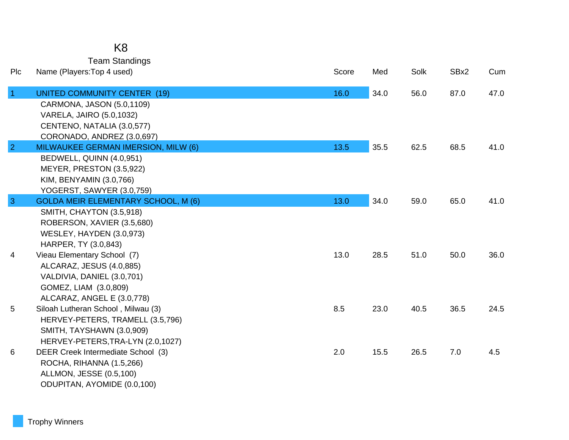| K8 |  |
|----|--|
|    |  |

| <b>Team Standings</b> |  |
|-----------------------|--|
| are:Ton 1 uead)       |  |

| Plc            | Name (Players: Top 4 used)                                                                                                                               | Score | Med  | Solk | SBx2 | Cum  |
|----------------|----------------------------------------------------------------------------------------------------------------------------------------------------------|-------|------|------|------|------|
| $\vert$ 1      | <b>UNITED COMMUNITY CENTER (19)</b><br>CARMONA, JASON (5.0,1109)<br>VARELA, JAIRO (5.0,1032)<br>CENTENO, NATALIA (3.0,577)<br>CORONADO, ANDREZ (3.0,697) | 16.0  | 34.0 | 56.0 | 87.0 | 47.0 |
| $\overline{2}$ | MILWAUKEE GERMAN IMERSION, MILW (6)<br>BEDWELL, QUINN (4.0,951)<br>MEYER, PRESTON (3.5,922)<br>KIM, BENYAMIN (3.0,766)<br>YOGERST, SAWYER (3.0,759)      | 13.5  | 35.5 | 62.5 | 68.5 | 41.0 |
| $\mathbf{3}$   | <b>GOLDA MEIR ELEMENTARY SCHOOL, M (6)</b><br>SMITH, CHAYTON (3.5,918)<br>ROBERSON, XAVIER (3.5,680)<br>WESLEY, HAYDEN (3.0,973)<br>HARPER, TY (3.0,843) | 13.0  | 34.0 | 59.0 | 65.0 | 41.0 |
| 4              | Vieau Elementary School (7)<br>ALCARAZ, JESUS (4.0,885)<br>VALDIVIA, DANIEL (3.0,701)<br>GOMEZ, LIAM (3.0,809)<br>ALCARAZ, ANGEL E (3.0,778)             | 13.0  | 28.5 | 51.0 | 50.0 | 36.0 |
| 5              | Siloah Lutheran School, Milwau (3)<br>HERVEY-PETERS, TRAMELL (3.5,796)<br>SMITH, TAYSHAWN (3.0,909)<br>HERVEY-PETERS, TRA-LYN (2.0, 1027)                | 8.5   | 23.0 | 40.5 | 36.5 | 24.5 |
| 6              | DEER Creek Intermediate School (3)<br>ROCHA, RIHANNA (1.5,266)<br>ALLMON, JESSE (0.5,100)<br>ODUPITAN, AYOMIDE (0.0,100)                                 | 2.0   | 15.5 | 26.5 | 7.0  | 4.5  |